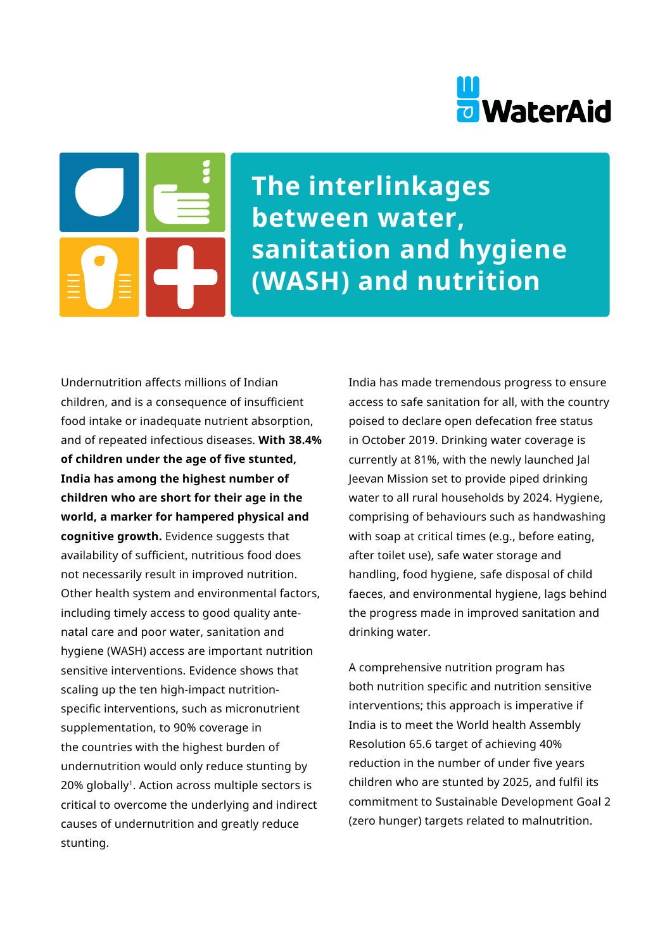# **D** WaterAid

**The interlinkages between water, sanitation and hygiene (WASH) and nutrition** 

Undernutrition affects millions of Indian children, and is a consequence of insufficient food intake or inadequate nutrient absorption, and of repeated infectious diseases. **With 38.4% of children under the age of five stunted, India has among the highest number of children who are short for their age in the world, a marker for hampered physical and cognitive growth.** Evidence suggests that availability of sufficient, nutritious food does not necessarily result in improved nutrition. Other health system and environmental factors, including timely access to good quality antenatal care and poor water, sanitation and hygiene (WASH) access are important nutrition sensitive interventions. Evidence shows that scaling up the ten high-impact nutritionspecific interventions, such as micronutrient supplementation, to 90% coverage in the countries with the highest burden of undernutrition would only reduce stunting by 20% globally<sup>1</sup>. Action across multiple sectors is critical to overcome the underlying and indirect causes of undernutrition and greatly reduce stunting.

India has made tremendous progress to ensure access to safe sanitation for all, with the country poised to declare open defecation free status in October 2019. Drinking water coverage is currently at 81%, with the newly launched Jal Jeevan Mission set to provide piped drinking water to all rural households by 2024. Hygiene, comprising of behaviours such as handwashing with soap at critical times (e.g., before eating, after toilet use), safe water storage and handling, food hygiene, safe disposal of child faeces, and environmental hygiene, lags behind the progress made in improved sanitation and drinking water.

A comprehensive nutrition program has both nutrition specific and nutrition sensitive interventions; this approach is imperative if India is to meet the World health Assembly Resolution 65.6 target of achieving 40% reduction in the number of under five years children who are stunted by 2025, and fulfil its commitment to Sustainable Development Goal 2 (zero hunger) targets related to malnutrition.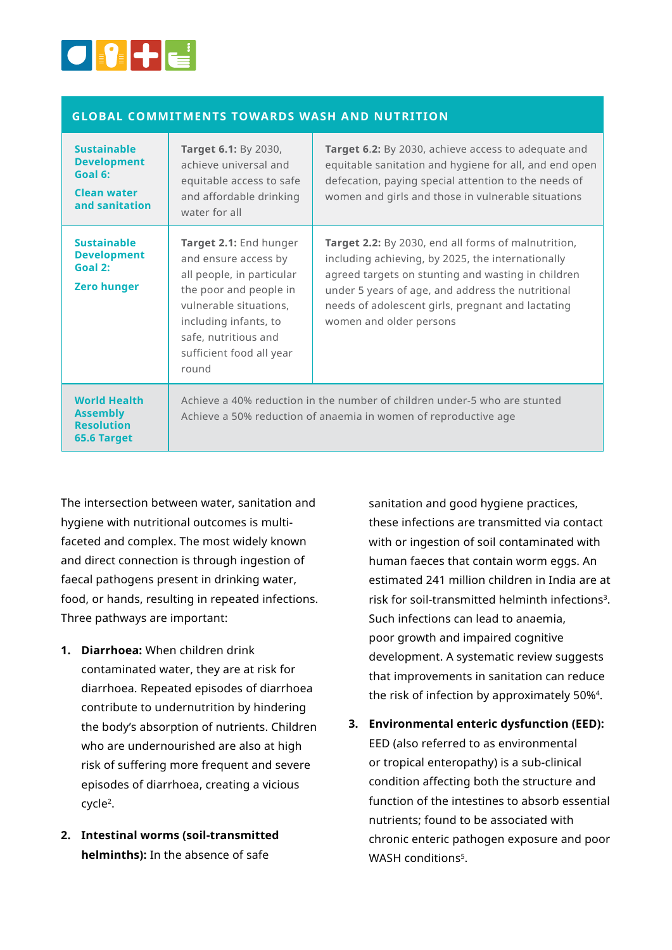

### **GLOBAL COMMITMENTS TOWARDS WASH AND NUTRITION**

| <b>Sustainable</b><br><b>Development</b><br>Goal 6:<br><b>Clean water</b><br>and sanitation | Target 6.1: By 2030,<br>achieve universal and<br>equitable access to safe<br>and affordable drinking<br>water for all                                                                                                 | Target 6.2: By 2030, achieve access to adequate and<br>equitable sanitation and hygiene for all, and end open<br>defecation, paying special attention to the needs of<br>women and girls and those in vulnerable situations                                                                         |
|---------------------------------------------------------------------------------------------|-----------------------------------------------------------------------------------------------------------------------------------------------------------------------------------------------------------------------|-----------------------------------------------------------------------------------------------------------------------------------------------------------------------------------------------------------------------------------------------------------------------------------------------------|
| <b>Sustainable</b><br><b>Development</b><br>Goal 2:<br><b>Zero hunger</b>                   | Target 2.1: End hunger<br>and ensure access by<br>all people, in particular<br>the poor and people in<br>vulnerable situations,<br>including infants, to<br>safe, nutritious and<br>sufficient food all year<br>round | Target 2.2: By 2030, end all forms of malnutrition,<br>including achieving, by 2025, the internationally<br>agreed targets on stunting and wasting in children<br>under 5 years of age, and address the nutritional<br>needs of adolescent girls, pregnant and lactating<br>women and older persons |
| <b>World Health</b><br><b>Assembly</b><br><b>Resolution</b><br>65.6 Target                  | Achieve a 40% reduction in the number of children under-5 who are stunted<br>Achieve a 50% reduction of anaemia in women of reproductive age                                                                          |                                                                                                                                                                                                                                                                                                     |

The intersection between water, sanitation and hygiene with nutritional outcomes is multifaceted and complex. The most widely known and direct connection is through ingestion of faecal pathogens present in drinking water, food, or hands, resulting in repeated infections. Three pathways are important:

- **1. Diarrhoea:** When children drink contaminated water, they are at risk for diarrhoea. Repeated episodes of diarrhoea contribute to undernutrition by hindering the body's absorption of nutrients. Children who are undernourished are also at high risk of suffering more frequent and severe episodes of diarrhoea, creating a vicious cycle2.
- **2. Intestinal worms (soil-transmitted helminths):** In the absence of safe

sanitation and good hygiene practices, these infections are transmitted via contact with or ingestion of soil contaminated with human faeces that contain worm eggs. An estimated 241 million children in India are at risk for soil-transmitted helminth infections<sup>3</sup>. Such infections can lead to anaemia, poor growth and impaired cognitive development. A systematic review suggests that improvements in sanitation can reduce the risk of infection by approximately 50%4.

**3. Environmental enteric dysfunction (EED):**  EED (also referred to as environmental or tropical enteropathy) is a sub-clinical condition affecting both the structure and function of the intestines to absorb essential nutrients; found to be associated with chronic enteric pathogen exposure and poor WASH conditions<sup>5</sup>.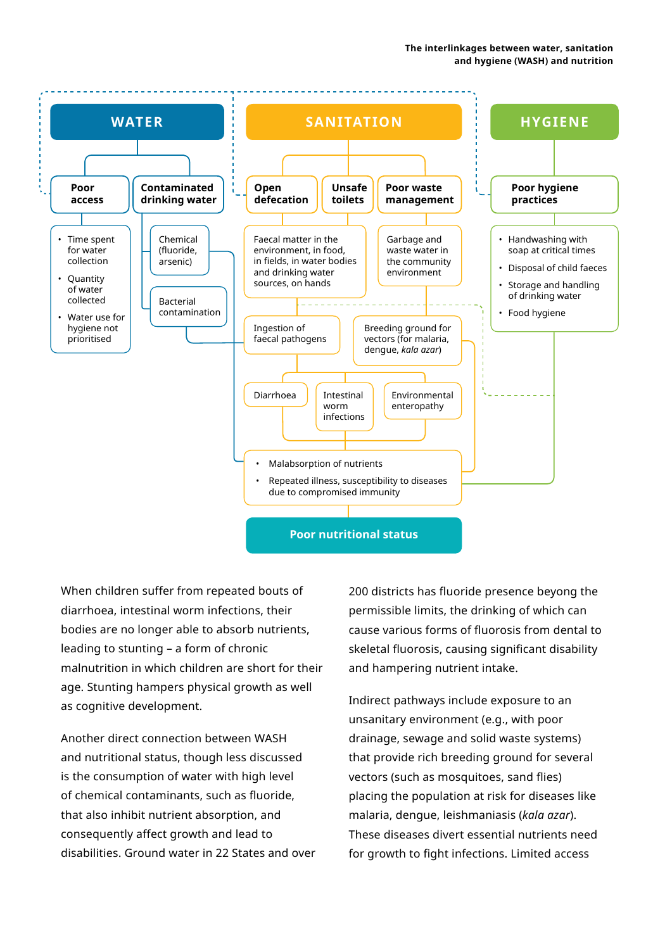

When children suffer from repeated bouts of diarrhoea, intestinal worm infections, their bodies are no longer able to absorb nutrients, leading to stunting – a form of chronic malnutrition in which children are short for their age. Stunting hampers physical growth as well as cognitive development.

Another direct connection between WASH and nutritional status, though less discussed is the consumption of water with high level of chemical contaminants, such as fluoride, that also inhibit nutrient absorption, and consequently affect growth and lead to disabilities. Ground water in 22 States and over 200 districts has fluoride presence beyong the permissible limits, the drinking of which can cause various forms of fluorosis from dental to skeletal fluorosis, causing significant disability and hampering nutrient intake.

Indirect pathways include exposure to an unsanitary environment (e.g., with poor drainage, sewage and solid waste systems) that provide rich breeding ground for several vectors (such as mosquitoes, sand flies) placing the population at risk for diseases like malaria, dengue, leishmaniasis (*kala azar*). These diseases divert essential nutrients need for growth to fight infections. Limited access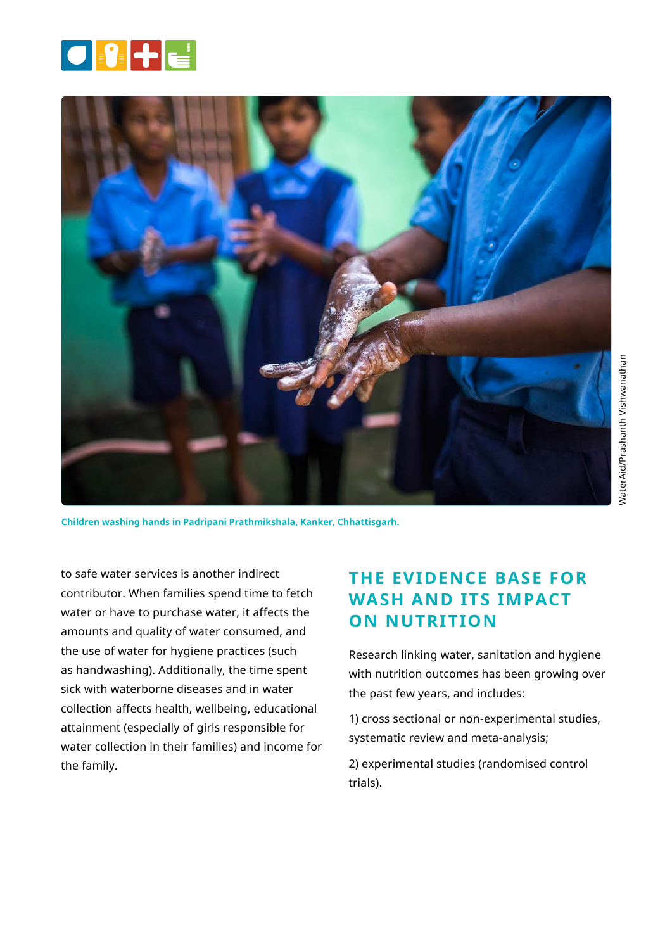



**Children washing hands in Padripani Prathmikshala, Kanker, Chhattisgarh.** 

to safe water services is another indirect contributor. When families spend time to fetch water or have to purchase water, it affects the amounts and quality of water consumed, and the use of water for hygiene practices (such as handwashing). Additionally, the time spent sick with waterborne diseases and in water collection affects health, wellbeing, educational attainment (especially of girls responsible for water collection in their families) and income for the family.

# **THE EVIDENCE BASE FOR WASH AND ITS IMPACT ON NUTRITION**

Research linking water, sanitation and hygiene with nutrition outcomes has been growing over the past few years, and includes:

1) cross sectional or non-experimental studies, systematic review and meta-analysis;

2) experimental studies (randomised control trials).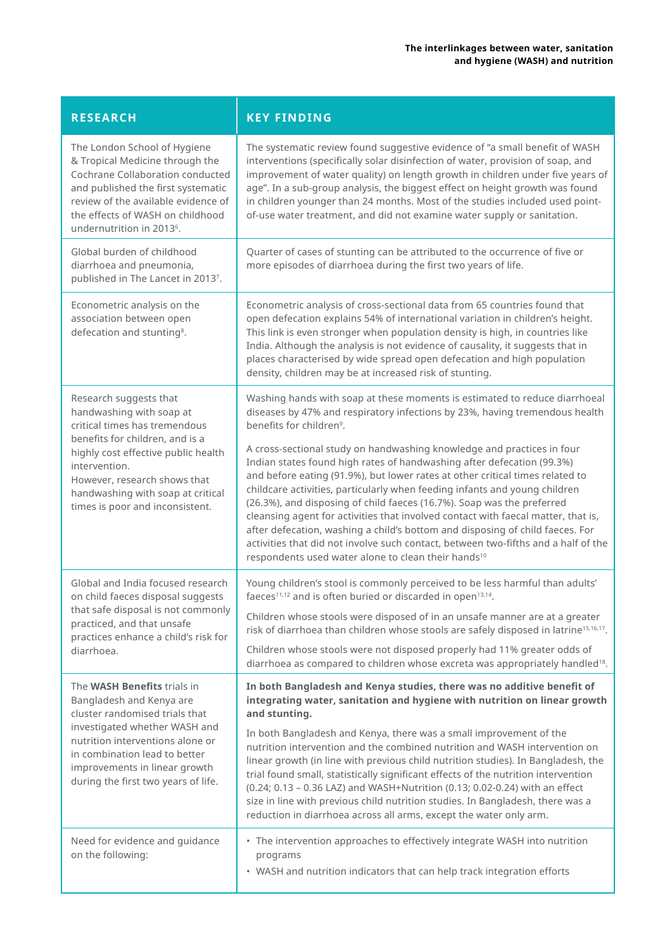| <b>RESEARCH</b>                                                                                                                                                                                                                                                                                           | <b>KEY FINDING</b>                                                                                                                                                                                                                                                                                                                                                                                                                                                                                                                                                                                                                                                                                                                                                                                                                                                                                                            |  |
|-----------------------------------------------------------------------------------------------------------------------------------------------------------------------------------------------------------------------------------------------------------------------------------------------------------|-------------------------------------------------------------------------------------------------------------------------------------------------------------------------------------------------------------------------------------------------------------------------------------------------------------------------------------------------------------------------------------------------------------------------------------------------------------------------------------------------------------------------------------------------------------------------------------------------------------------------------------------------------------------------------------------------------------------------------------------------------------------------------------------------------------------------------------------------------------------------------------------------------------------------------|--|
| The London School of Hygiene<br>& Tropical Medicine through the<br>Cochrane Collaboration conducted<br>and published the first systematic<br>review of the available evidence of<br>the effects of WASH on childhood<br>undernutrition in 2013 <sup>6</sup> .                                             | The systematic review found suggestive evidence of "a small benefit of WASH<br>interventions (specifically solar disinfection of water, provision of soap, and<br>improvement of water quality) on length growth in children under five years of<br>age". In a sub-group analysis, the biggest effect on height growth was found<br>in children younger than 24 months. Most of the studies included used point-<br>of-use water treatment, and did not examine water supply or sanitation.                                                                                                                                                                                                                                                                                                                                                                                                                                   |  |
| Global burden of childhood<br>diarrhoea and pneumonia,<br>published in The Lancet in 20137.                                                                                                                                                                                                               | Quarter of cases of stunting can be attributed to the occurrence of five or<br>more episodes of diarrhoea during the first two years of life.                                                                                                                                                                                                                                                                                                                                                                                                                                                                                                                                                                                                                                                                                                                                                                                 |  |
| Econometric analysis on the<br>association between open<br>defecation and stunting <sup>8</sup> .                                                                                                                                                                                                         | Econometric analysis of cross-sectional data from 65 countries found that<br>open defecation explains 54% of international variation in children's height.<br>This link is even stronger when population density is high, in countries like<br>India. Although the analysis is not evidence of causality, it suggests that in<br>places characterised by wide spread open defecation and high population<br>density, children may be at increased risk of stunting.                                                                                                                                                                                                                                                                                                                                                                                                                                                           |  |
| Research suggests that<br>handwashing with soap at<br>critical times has tremendous<br>benefits for children, and is a<br>highly cost effective public health<br>intervention.<br>However, research shows that<br>handwashing with soap at critical<br>times is poor and inconsistent.                    | Washing hands with soap at these moments is estimated to reduce diarrhoeal<br>diseases by 47% and respiratory infections by 23%, having tremendous health<br>benefits for children <sup>9</sup> .<br>A cross-sectional study on handwashing knowledge and practices in four<br>Indian states found high rates of handwashing after defecation (99.3%)<br>and before eating (91.9%), but lower rates at other critical times related to<br>childcare activities, particularly when feeding infants and young children<br>(26.3%), and disposing of child faeces (16.7%). Soap was the preferred<br>cleansing agent for activities that involved contact with faecal matter, that is,<br>after defecation, washing a child's bottom and disposing of child faeces. For<br>activities that did not involve such contact, between two-fifths and a half of the<br>respondents used water alone to clean their hands <sup>10</sup> |  |
| Global and India focused research<br>on child faeces disposal suggests<br>that safe disposal is not commonly<br>practiced, and that unsafe<br>practices enhance a child's risk for<br>diarrhoea.                                                                                                          | Young children's stool is commonly perceived to be less harmful than adults'<br>faeces <sup>11,12</sup> and is often buried or discarded in open <sup>13,14</sup> .<br>Children whose stools were disposed of in an unsafe manner are at a greater<br>risk of diarrhoea than children whose stools are safely disposed in latrine <sup>15,16,17</sup> .<br>Children whose stools were not disposed properly had 11% greater odds of<br>diarrhoea as compared to children whose excreta was appropriately handled <sup>18</sup> .                                                                                                                                                                                                                                                                                                                                                                                              |  |
| The WASH Benefits trials in<br>Bangladesh and Kenya are<br>cluster randomised trials that<br>investigated whether WASH and<br>nutrition interventions alone or<br>in combination lead to better<br>improvements in linear growth<br>during the first two years of life.<br>Need for evidence and guidance | In both Bangladesh and Kenya studies, there was no additive benefit of<br>integrating water, sanitation and hygiene with nutrition on linear growth<br>and stunting.<br>In both Bangladesh and Kenya, there was a small improvement of the<br>nutrition intervention and the combined nutrition and WASH intervention on<br>linear growth (in line with previous child nutrition studies). In Bangladesh, the<br>trial found small, statistically significant effects of the nutrition intervention<br>(0.24; 0.13 - 0.36 LAZ) and WASH+Nutrition (0.13; 0.02-0.24) with an effect<br>size in line with previous child nutrition studies. In Bangladesh, there was a<br>reduction in diarrhoea across all arms, except the water only arm.<br>• The intervention approaches to effectively integrate WASH into nutrition                                                                                                      |  |
| on the following:                                                                                                                                                                                                                                                                                         | programs<br>• WASH and nutrition indicators that can help track integration efforts                                                                                                                                                                                                                                                                                                                                                                                                                                                                                                                                                                                                                                                                                                                                                                                                                                           |  |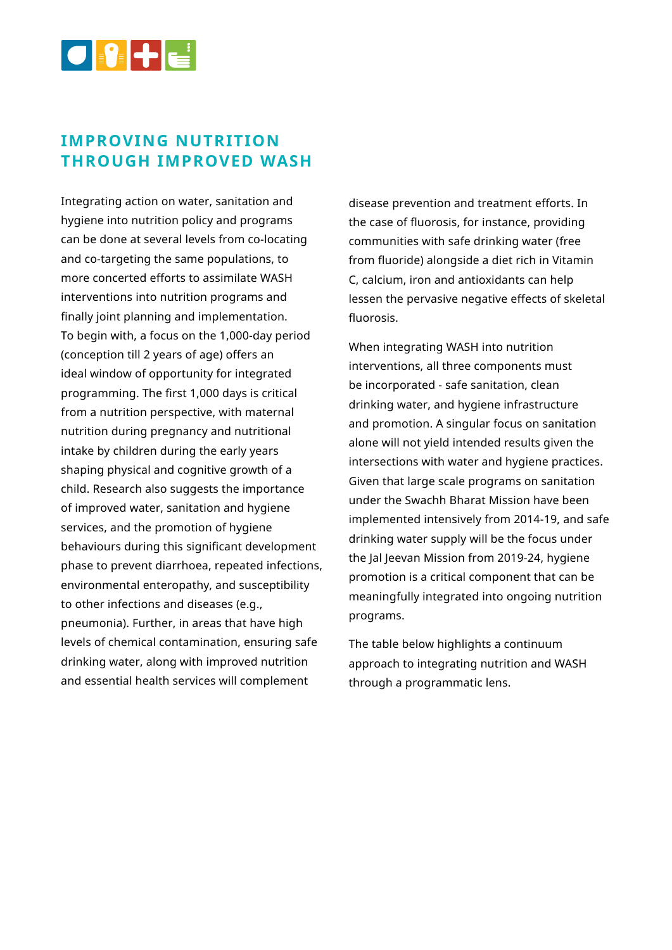

## **IMPROVING NUTRITION THROUGH IMPROVED WASH**

Integrating action on water, sanitation and hygiene into nutrition policy and programs can be done at several levels from co-locating and co-targeting the same populations, to more concerted efforts to assimilate WASH interventions into nutrition programs and finally joint planning and implementation. To begin with, a focus on the 1,000-day period (conception till 2 years of age) offers an ideal window of opportunity for integrated programming. The first 1,000 days is critical from a nutrition perspective, with maternal nutrition during pregnancy and nutritional intake by children during the early years shaping physical and cognitive growth of a child. Research also suggests the importance of improved water, sanitation and hygiene services, and the promotion of hygiene behaviours during this significant development phase to prevent diarrhoea, repeated infections, environmental enteropathy, and susceptibility to other infections and diseases (e.g., pneumonia). Further, in areas that have high levels of chemical contamination, ensuring safe drinking water, along with improved nutrition and essential health services will complement

disease prevention and treatment efforts. In the case of fluorosis, for instance, providing communities with safe drinking water (free from fluoride) alongside a diet rich in Vitamin C, calcium, iron and antioxidants can help lessen the pervasive negative effects of skeletal fluorosis.

When integrating WASH into nutrition interventions, all three components must be incorporated - safe sanitation, clean drinking water, and hygiene infrastructure and promotion. A singular focus on sanitation alone will not yield intended results given the intersections with water and hygiene practices. Given that large scale programs on sanitation under the Swachh Bharat Mission have been implemented intensively from 2014-19, and safe drinking water supply will be the focus under the Jal Jeevan Mission from 2019-24, hygiene promotion is a critical component that can be meaningfully integrated into ongoing nutrition programs.

The table below highlights a continuum approach to integrating nutrition and WASH through a programmatic lens.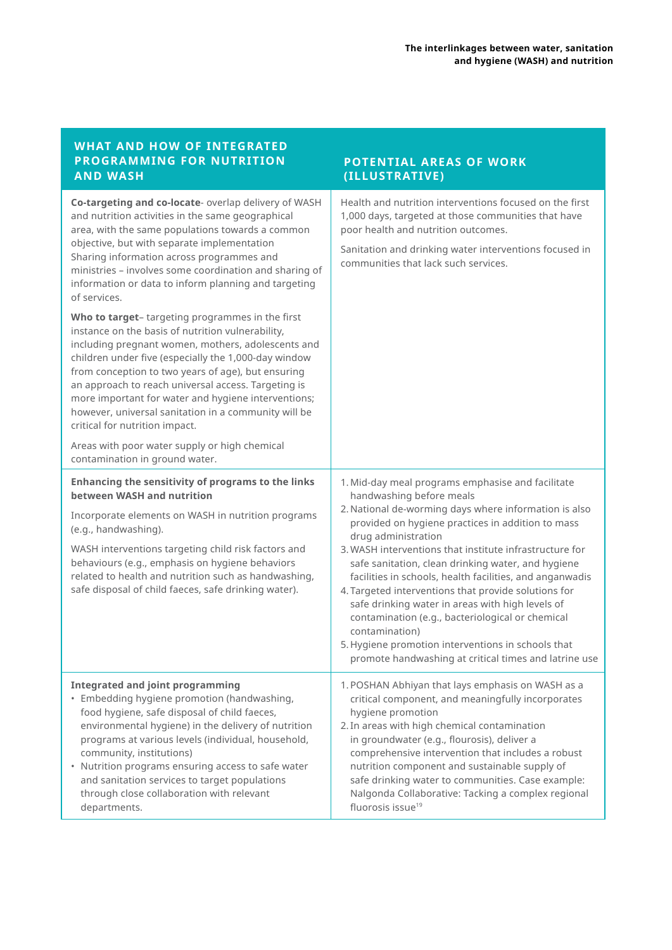| <b>WHAT AND HOW OF INTEGRATED</b><br>PROGRAMMING FOR NUTRITION<br><b>AND WASH</b>                                                                                                                                                                                                                                                                                                                                                                                                                                                                                                                                                                                                                                                                                                                                                                                                                                                | POTENTIAL AREAS OF WORK<br>(ILLUSTRATIVE)                                                                                                                                                                                                                                                                                                                                                                                                                                                                                                                                                                                                   |
|----------------------------------------------------------------------------------------------------------------------------------------------------------------------------------------------------------------------------------------------------------------------------------------------------------------------------------------------------------------------------------------------------------------------------------------------------------------------------------------------------------------------------------------------------------------------------------------------------------------------------------------------------------------------------------------------------------------------------------------------------------------------------------------------------------------------------------------------------------------------------------------------------------------------------------|---------------------------------------------------------------------------------------------------------------------------------------------------------------------------------------------------------------------------------------------------------------------------------------------------------------------------------------------------------------------------------------------------------------------------------------------------------------------------------------------------------------------------------------------------------------------------------------------------------------------------------------------|
| Co-targeting and co-locate- overlap delivery of WASH<br>and nutrition activities in the same geographical<br>area, with the same populations towards a common<br>objective, but with separate implementation<br>Sharing information across programmes and<br>ministries - involves some coordination and sharing of<br>information or data to inform planning and targeting<br>of services.<br>Who to target-targeting programmes in the first<br>instance on the basis of nutrition vulnerability,<br>including pregnant women, mothers, adolescents and<br>children under five (especially the 1,000-day window<br>from conception to two years of age), but ensuring<br>an approach to reach universal access. Targeting is<br>more important for water and hygiene interventions;<br>however, universal sanitation in a community will be<br>critical for nutrition impact.<br>Areas with poor water supply or high chemical | Health and nutrition interventions focused on the first<br>1,000 days, targeted at those communities that have<br>poor health and nutrition outcomes.<br>Sanitation and drinking water interventions focused in<br>communities that lack such services.                                                                                                                                                                                                                                                                                                                                                                                     |
| contamination in ground water.<br>Enhancing the sensitivity of programs to the links                                                                                                                                                                                                                                                                                                                                                                                                                                                                                                                                                                                                                                                                                                                                                                                                                                             | 1. Mid-day meal programs emphasise and facilitate                                                                                                                                                                                                                                                                                                                                                                                                                                                                                                                                                                                           |
| between WASH and nutrition                                                                                                                                                                                                                                                                                                                                                                                                                                                                                                                                                                                                                                                                                                                                                                                                                                                                                                       | handwashing before meals<br>2. National de-worming days where information is also<br>provided on hygiene practices in addition to mass<br>drug administration<br>3. WASH interventions that institute infrastructure for<br>safe sanitation, clean drinking water, and hygiene<br>facilities in schools, health facilities, and anganwadis<br>4. Targeted interventions that provide solutions for<br>safe drinking water in areas with high levels of<br>contamination (e.g., bacteriological or chemical<br>contamination)<br>5. Hygiene promotion interventions in schools that<br>promote handwashing at critical times and latrine use |
| Incorporate elements on WASH in nutrition programs<br>(e.g., handwashing).<br>WASH interventions targeting child risk factors and<br>behaviours (e.g., emphasis on hygiene behaviors<br>related to health and nutrition such as handwashing,                                                                                                                                                                                                                                                                                                                                                                                                                                                                                                                                                                                                                                                                                     |                                                                                                                                                                                                                                                                                                                                                                                                                                                                                                                                                                                                                                             |
| safe disposal of child faeces, safe drinking water).                                                                                                                                                                                                                                                                                                                                                                                                                                                                                                                                                                                                                                                                                                                                                                                                                                                                             |                                                                                                                                                                                                                                                                                                                                                                                                                                                                                                                                                                                                                                             |
| <b>Integrated and joint programming</b><br>• Embedding hygiene promotion (handwashing,<br>food hygiene, safe disposal of child faeces,<br>environmental hygiene) in the delivery of nutrition<br>programs at various levels (individual, household,<br>community, institutions)<br>• Nutrition programs ensuring access to safe water<br>and sanitation services to target populations<br>through close collaboration with relevant<br>departments.                                                                                                                                                                                                                                                                                                                                                                                                                                                                              | 1. POSHAN Abhiyan that lays emphasis on WASH as a<br>critical component, and meaningfully incorporates<br>hygiene promotion<br>2. In areas with high chemical contamination<br>in groundwater (e.g., flourosis), deliver a<br>comprehensive intervention that includes a robust<br>nutrition component and sustainable supply of<br>safe drinking water to communities. Case example:<br>Nalgonda Collaborative: Tacking a complex regional<br>fluorosis issue <sup>19</sup>                                                                                                                                                                |